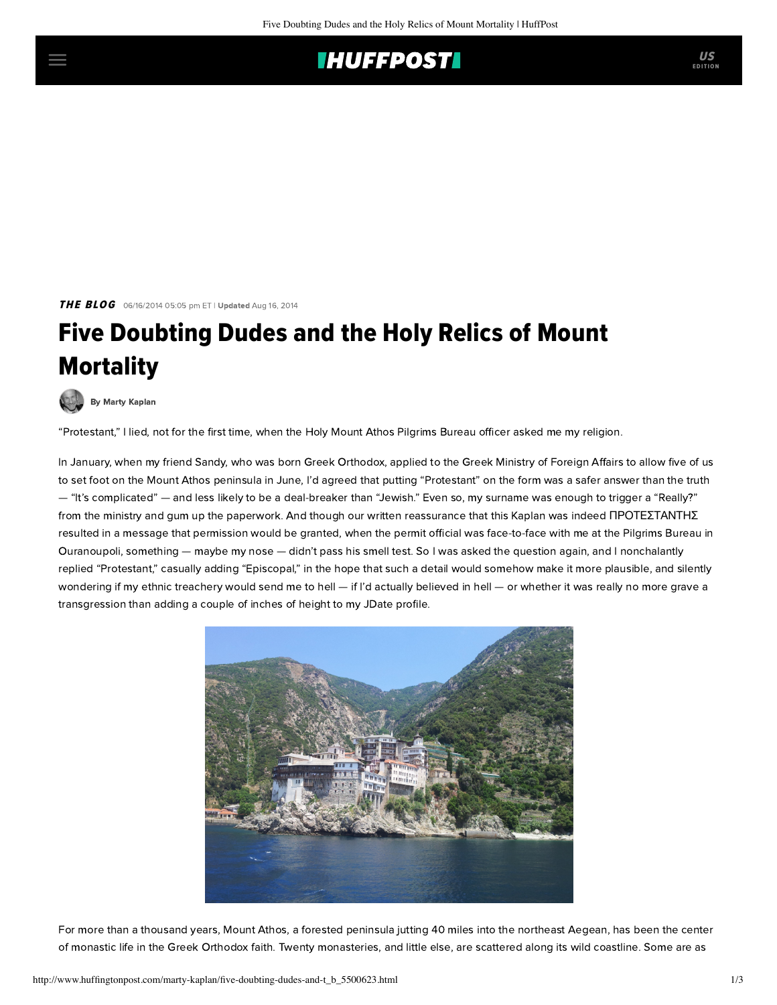## **IHUFFPOSTI**

**THE BLOG** 06/16/2014 05:05 pm ET | Updated Aug 16, 2014

## Five Doubting Dudes and the Holy Relics of Mount **Mortality**



[By Marty Kaplan](http://www.huffingtonpost.com/author/marty-kaplan)

"Protestant," I lied, not for the first time, when the Holy Mount Athos Pilgrims Bureau officer asked me my religion.

In January, when my friend Sandy, who was born Greek Orthodox, applied to the Greek Ministry of Foreign Affairs to allow five of us to set foot on the Mount Athos peninsula in June, I'd agreed that putting "Protestant" on the form was a safer answer than the truth — "It's complicated" — and less likely to be a deal-breaker than "Jewish." Even so, my surname was enough to trigger a "Really?" from the ministry and gum up the paperwork. And though our written reassurance that this Kaplan was indeed ΠΡΟΤΕΣΤΑΝΤΗΣ resulted in a message that permission would be granted, when the permit official was face-to-face with me at the Pilgrims Bureau in Ouranoupoli, something — maybe my nose — didn't pass his smell test. So I was asked the question again, and I nonchalantly replied "Protestant," casually adding "Episcopal," in the hope that such a detail would somehow make it more plausible, and silently wondering if my ethnic treachery would send me to hell — if I'd actually believed in hell — or whether it was really no more grave a transgression than adding a couple of inches of height to my JDate profile.



For more than a thousand years, Mount Athos, a forested peninsula jutting 40 miles into the northeast Aegean, has been the center of monastic life in the Greek Orthodox faith. Twenty monasteries, and little else, are scattered along its wild coastline. Some are as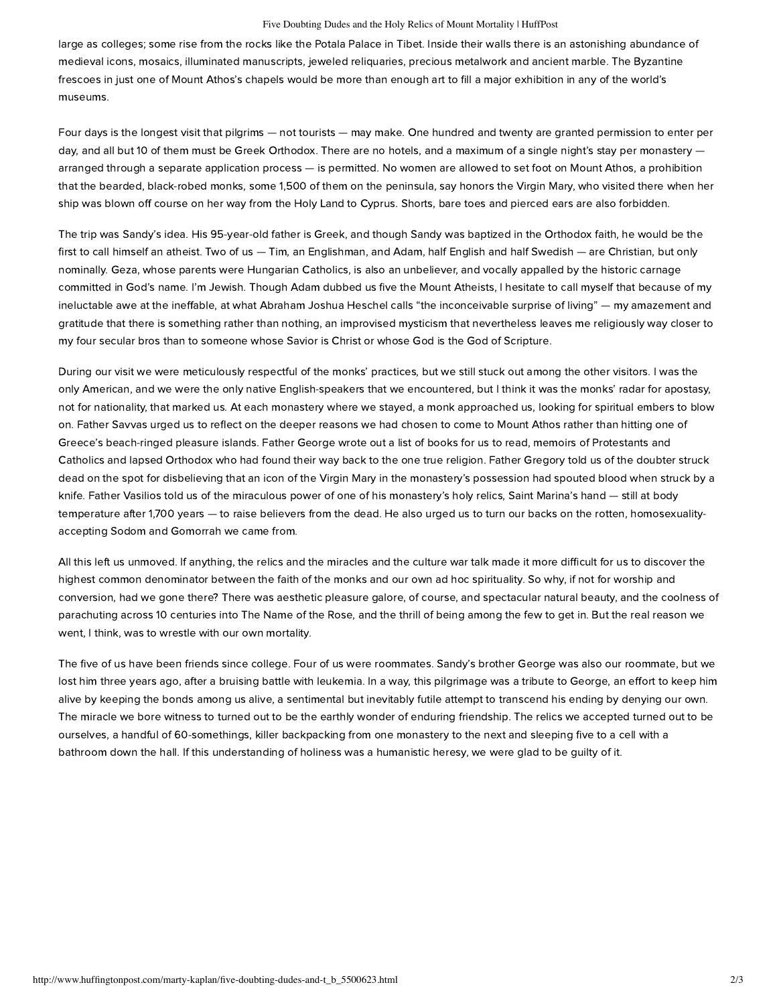## Five Doubting Dudes and the Holy Relics of Mount Mortality | HuffPost

large as colleges; some rise from the rocks like the Potala Palace in Tibet. Inside their walls there is an astonishing abundance of medieval icons, mosaics, illuminated manuscripts, jeweled reliquaries, precious metalwork and ancient marble. The Byzantine frescoes in just one of Mount Athos's chapels would be more than enough art to fill a major exhibition in any of the world's museums.

Four days is the longest visit that pilgrims — not tourists — may make. One hundred and twenty are granted permission to enter per day, and all but 10 of them must be Greek Orthodox. There are no hotels, and a maximum of a single night's stay per monastery arranged through a separate application process — is permitted. No women are allowed to set foot on Mount Athos, a prohibition that the bearded, black-robed monks, some 1,500 of them on the peninsula, say honors the Virgin Mary, who visited there when her ship was blown off course on her way from the Holy Land to Cyprus. Shorts, bare toes and pierced ears are also forbidden.

The trip was Sandy's idea. His 95-year-old father is Greek, and though Sandy was baptized in the Orthodox faith, he would be the first to call himself an atheist. Two of us — Tim, an Englishman, and Adam, half English and half Swedish — are Christian, but only nominally. Geza, whose parents were Hungarian Catholics, is also an unbeliever, and vocally appalled by the historic carnage committed in God's name. I'm Jewish. Though Adam dubbed us five the Mount Atheists, I hesitate to call myself that because of my ineluctable awe at the ineffable, at what Abraham Joshua Heschel calls "the inconceivable surprise of living" — my amazement and gratitude that there is something rather than nothing, an improvised mysticism that nevertheless leaves me religiously way closer to my four secular bros than to someone whose Savior is Christ or whose God is the God of Scripture.

During our visit we were meticulously respectful of the monks' practices, but we still stuck out among the other visitors. I was the only American, and we were the only native English-speakers that we encountered, but I think it was the monks' radar for apostasy, not for nationality, that marked us. At each monastery where we stayed, a monk approached us, looking for spiritual embers to blow on. Father Savvas urged us to reflect on the deeper reasons we had chosen to come to Mount Athos rather than hitting one of Greece's beach-ringed pleasure islands. Father George wrote out a list of books for us to read, memoirs of Protestants and Catholics and lapsed Orthodox who had found their way back to the one true religion. Father Gregory told us of the doubter struck dead on the spot for disbelieving that an icon of the Virgin Mary in the monastery's possession had spouted blood when struck by a knife. Father Vasilios told us of the miraculous power of one of his monastery's holy relics, Saint Marina's hand — still at body temperature after 1,700 years — to raise believers from the dead. He also urged us to turn our backs on the rotten, homosexualityaccepting Sodom and Gomorrah we came from.

All this left us unmoved. If anything, the relics and the miracles and the culture war talk made it more difficult for us to discover the highest common denominator between the faith of the monks and our own ad hoc spirituality. So why, if not for worship and conversion, had we gone there? There was aesthetic pleasure galore, of course, and spectacular natural beauty, and the coolness of parachuting across 10 centuries into The Name of the Rose, and the thrill of being among the few to get in. But the real reason we went, I think, was to wrestle with our own mortality.

The five of us have been friends since college. Four of us were roommates. Sandy's brother George was also our roommate, but we lost him three years ago, after a bruising battle with leukemia. In a way, this pilgrimage was a tribute to George, an effort to keep him alive by keeping the bonds among us alive, a sentimental but inevitably futile attempt to transcend his ending by denying our own. The miracle we bore witness to turned out to be the earthly wonder of enduring friendship. The relics we accepted turned out to be ourselves, a handful of 60-somethings, killer backpacking from one monastery to the next and sleeping five to a cell with a bathroom down the hall. If this understanding of holiness was a humanistic heresy, we were glad to be guilty of it.